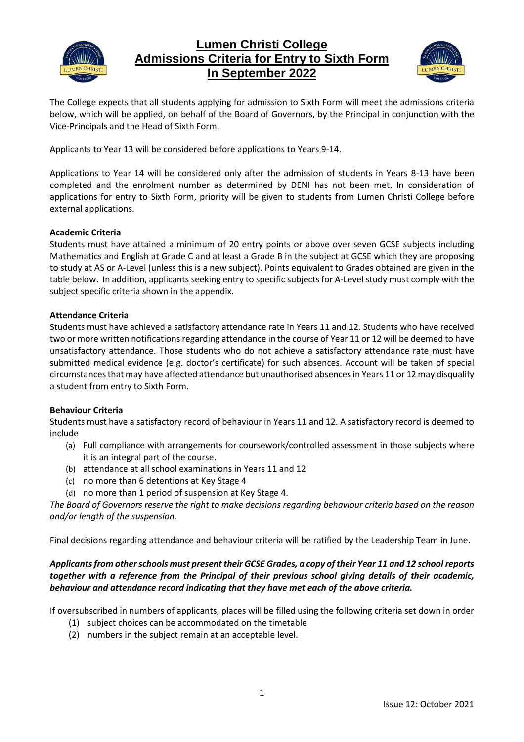

# **Lumen Christi College Admissions Criteria for Entry to Sixth Form In September 2022**



The College expects that all students applying for admission to Sixth Form will meet the admissions criteria below, which will be applied, on behalf of the Board of Governors, by the Principal in conjunction with the Vice-Principals and the Head of Sixth Form.

Applicants to Year 13 will be considered before applications to Years 9-14.

Applications to Year 14 will be considered only after the admission of students in Years 8-13 have been completed and the enrolment number as determined by DENI has not been met. In consideration of applications for entry to Sixth Form, priority will be given to students from Lumen Christi College before external applications.

## **Academic Criteria**

Students must have attained a minimum of 20 entry points or above over seven GCSE subjects including Mathematics and English at Grade C and at least a Grade B in the subject at GCSE which they are proposing to study at AS or A-Level (unless this is a new subject). Points equivalent to Grades obtained are given in the table below. In addition, applicants seeking entry to specific subjects for A-Level study must comply with the subject specific criteria shown in the appendix.

## **Attendance Criteria**

Students must have achieved a satisfactory attendance rate in Years 11 and 12. Students who have received two or more written notifications regarding attendance in the course of Year 11 or 12 will be deemed to have unsatisfactory attendance. Those students who do not achieve a satisfactory attendance rate must have submitted medical evidence (e.g. doctor's certificate) for such absences. Account will be taken of special circumstancesthat may have affected attendance but unauthorised absencesin Years 11 or 12 may disqualify a student from entry to Sixth Form.

### **Behaviour Criteria**

Students must have a satisfactory record of behaviour in Years 11 and 12. A satisfactory record is deemed to include

- (a) Full compliance with arrangements for coursework/controlled assessment in those subjects where it is an integral part of the course.
- (b) attendance at all school examinations in Years 11 and 12
- (c) no more than 6 detentions at Key Stage 4
- (d) no more than 1 period of suspension at Key Stage 4.

The Board of Governors reserve the right to make decisions regarding behaviour criteria based on the reason *and/or length of the suspension.*

Final decisions regarding attendance and behaviour criteria will be ratified by the Leadership Team in June.

# *Applicantsfrom otherschools must present their GCSE Grades, a copy of their Year 11 and 12 school reports together with a reference from the Principal of their previous school giving details of their academic, behaviour and attendance record indicating that they have met each of the above criteria.*

If oversubscribed in numbers of applicants, places will be filled using the following criteria set down in order

- (1) subject choices can be accommodated on the timetable
- (2) numbers in the subject remain at an acceptable level.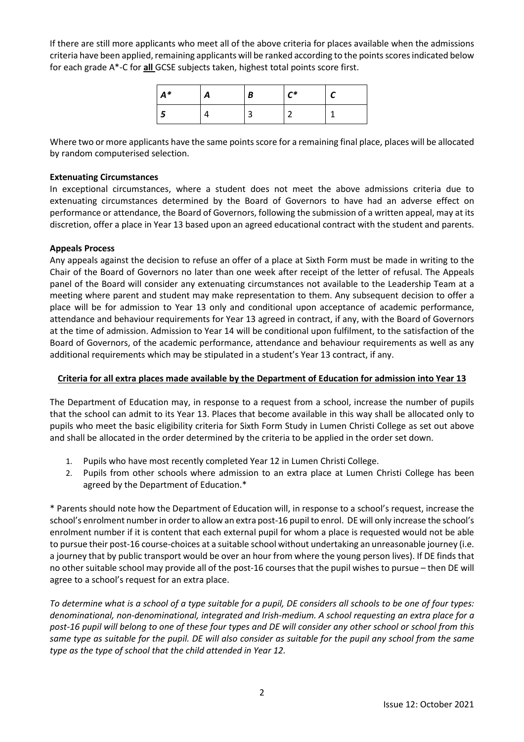If there are still more applicants who meet all of the above criteria for places available when the admissions criteria have been applied, remaining applicants will be ranked according to the points scores indicated below for each grade A\*-C for **all** GCSE subjects taken, highest total points score first.

| $A^*$ | A | Β | $\mathsf{C}^*$ |  |
|-------|---|---|----------------|--|
|       |   |   |                |  |

Where two or more applicants have the same points score for a remaining final place, places will be allocated by random computerised selection.

### **Extenuating Circumstances**

In exceptional circumstances, where a student does not meet the above admissions criteria due to extenuating circumstances determined by the Board of Governors to have had an adverse effect on performance or attendance, the Board of Governors, following the submission of a written appeal, may at its discretion, offer a place in Year 13 based upon an agreed educational contract with the student and parents.

#### **Appeals Process**

Any appeals against the decision to refuse an offer of a place at Sixth Form must be made in writing to the Chair of the Board of Governors no later than one week after receipt of the letter of refusal. The Appeals panel of the Board will consider any extenuating circumstances not available to the Leadership Team at a meeting where parent and student may make representation to them. Any subsequent decision to offer a place will be for admission to Year 13 only and conditional upon acceptance of academic performance, attendance and behaviour requirements for Year 13 agreed in contract, if any, with the Board of Governors at the time of admission. Admission to Year 14 will be conditional upon fulfilment, to the satisfaction of the Board of Governors, of the academic performance, attendance and behaviour requirements as well as any additional requirements which may be stipulated in a student's Year 13 contract, if any.

### **Criteria for all extra places made available by the Department of Education for admission into Year 13**

The Department of Education may, in response to a request from a school, increase the number of pupils that the school can admit to its Year 13. Places that become available in this way shall be allocated only to pupils who meet the basic eligibility criteria for Sixth Form Study in Lumen Christi College as set out above and shall be allocated in the order determined by the criteria to be applied in the order set down.

- 1. Pupils who have most recently completed Year 12 in Lumen Christi College.
- 2. Pupils from other schools where admission to an extra place at Lumen Christi College has been agreed by the Department of Education.\*

\* Parents should note how the Department of Education will, in response to a school's request, increase the school's enrolment number in order to allow an extra post-16 pupil to enrol. DE will only increase the school's enrolment number if it is content that each external pupil for whom a place is requested would not be able to pursue their post-16 course-choices at a suitable school without undertaking an unreasonable journey (i.e. a journey that by public transport would be over an hour from where the young person lives). If DE finds that no other suitable school may provide all of the post-16 courses that the pupil wishes to pursue – then DE will agree to a school's request for an extra place.

To determine what is a school of a type suitable for a pupil, DE considers all schools to be one of four types: *denominational, non-denominational, integrated and Irish-medium. A school requesting an extra place for a* post-16 pupil will belong to one of these four types and DE will consider any other school or school from this same type as suitable for the pupil. DE will also consider as suitable for the pupil any school from the same *type as the type of school that the child attended in Year 12.*